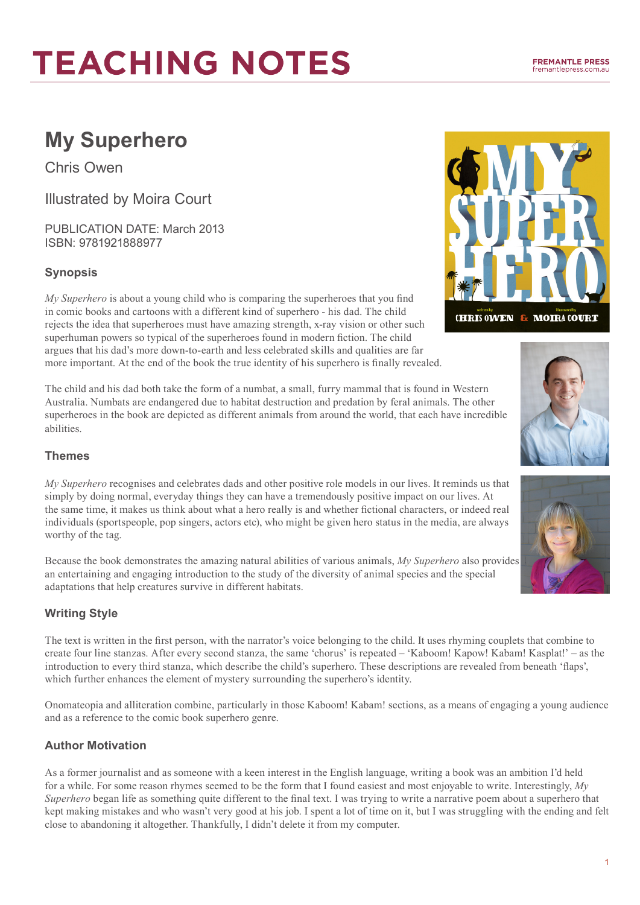# **My Superhero**

Chris Owen

Illustrated by Moira Court

PUBLICATION DATE: March 2013 ISBN: 9781921888977

# **Synopsis**

*My Superhero* is about a young child who is comparing the superheroes that you find in comic books and cartoons with a different kind of superhero - his dad. The child rejects the idea that superheroes must have amazing strength, x-ray vision or other such superhuman powers so typical of the superheroes found in modern fiction. The child argues that his dad's more down-to-earth and less celebrated skills and qualities are far more important. At the end of the book the true identity of his superhero is finally revealed.

The child and his dad both take the form of a numbat, a small, furry mammal that is found in Western Australia. Numbats are endangered due to habitat destruction and predation by feral animals. The other superheroes in the book are depicted as different animals from around the world, that each have incredible abilities.

### **Themes**

*My Superhero* recognises and celebrates dads and other positive role models in our lives. It reminds us that simply by doing normal, everyday things they can have a tremendously positive impact on our lives. At the same time, it makes us think about what a hero really is and whether fictional characters, or indeed real individuals (sportspeople, pop singers, actors etc), who might be given hero status in the media, are always worthy of the tag.

Because the book demonstrates the amazing natural abilities of various animals, *My Superhero* also provides an entertaining and engaging introduction to the study of the diversity of animal species and the special adaptations that help creatures survive in different habitats.

## **Writing Style**

The text is written in the first person, with the narrator's voice belonging to the child. It uses rhyming couplets that combine to create four line stanzas. After every second stanza, the same 'chorus' is repeated – 'Kaboom! Kapow! Kabam! Kasplat!' – as the introduction to every third stanza, which describe the child's superhero. These descriptions are revealed from beneath 'flaps', which further enhances the element of mystery surrounding the superhero's identity.

Onomateopia and alliteration combine, particularly in those Kaboom! Kabam! sections, as a means of engaging a young audience and as a reference to the comic book superhero genre.

## **Author Motivation**

As a former journalist and as someone with a keen interest in the English language, writing a book was an ambition I'd held for a while. For some reason rhymes seemed to be the form that I found easiest and most enjoyable to write. Interestingly, *My Superhero* began life as something quite different to the final text. I was trying to write a narrative poem about a superhero that kept making mistakes and who wasn't very good at his job. I spent a lot of time on it, but I was struggling with the ending and felt close to abandoning it altogether. Thankfully, I didn't delete it from my computer.



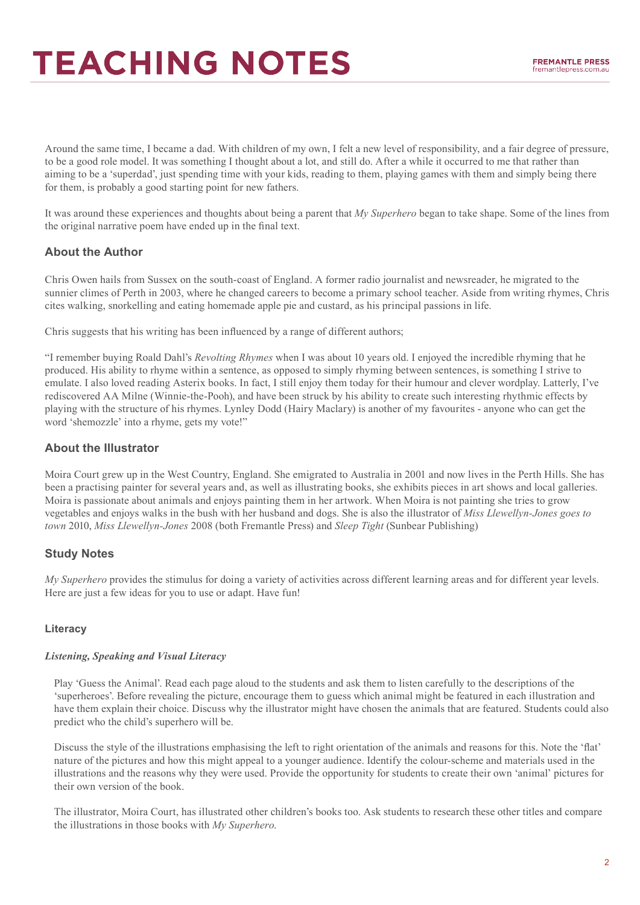Around the same time, I became a dad. With children of my own, I felt a new level of responsibility, and a fair degree of pressure, to be a good role model. It was something I thought about a lot, and still do. After a while it occurred to me that rather than aiming to be a 'superdad', just spending time with your kids, reading to them, playing games with them and simply being there for them, is probably a good starting point for new fathers.

It was around these experiences and thoughts about being a parent that *My Superhero* began to take shape. Some of the lines from the original narrative poem have ended up in the final text.

## **About the Author**

Chris Owen hails from Sussex on the south-coast of England. A former radio journalist and newsreader, he migrated to the sunnier climes of Perth in 2003, where he changed careers to become a primary school teacher. Aside from writing rhymes, Chris cites walking, snorkelling and eating homemade apple pie and custard, as his principal passions in life.

Chris suggests that his writing has been influenced by a range of different authors;

"I remember buying Roald Dahl's *Revolting Rhymes* when I was about 10 years old. I enjoyed the incredible rhyming that he produced. His ability to rhyme within a sentence, as opposed to simply rhyming between sentences, is something I strive to emulate. I also loved reading Asterix books. In fact, I still enjoy them today for their humour and clever wordplay. Latterly, I've rediscovered AA Milne (Winnie-the-Pooh), and have been struck by his ability to create such interesting rhythmic effects by playing with the structure of his rhymes. Lynley Dodd (Hairy Maclary) is another of my favourites - anyone who can get the word 'shemozzle' into a rhyme, gets my vote!"

### **About the Illustrator**

Moira Court grew up in the West Country, England. She emigrated to Australia in 2001 and now lives in the Perth Hills. She has been a practising painter for several years and, as well as illustrating books, she exhibits pieces in art shows and local galleries. Moira is passionate about animals and enjoys painting them in her artwork. When Moira is not painting she tries to grow vegetables and enjoys walks in the bush with her husband and dogs. She is also the illustrator of *Miss Llewellyn-Jones goes to town* 2010, *Miss Llewellyn-Jones* 2008 (both Fremantle Press) and *Sleep Tight* (Sunbear Publishing)

## **Study Notes**

*My Superhero* provides the stimulus for doing a variety of activities across different learning areas and for different year levels. Here are just a few ideas for you to use or adapt. Have fun!

#### **Literacy**

#### *Listening, Speaking and Visual Literacy*

Play 'Guess the Animal'. Read each page aloud to the students and ask them to listen carefully to the descriptions of the 'superheroes'. Before revealing the picture, encourage them to guess which animal might be featured in each illustration and have them explain their choice. Discuss why the illustrator might have chosen the animals that are featured. Students could also predict who the child's superhero will be.

Discuss the style of the illustrations emphasising the left to right orientation of the animals and reasons for this. Note the 'flat' nature of the pictures and how this might appeal to a younger audience. Identify the colour-scheme and materials used in the illustrations and the reasons why they were used. Provide the opportunity for students to create their own 'animal' pictures for their own version of the book.

The illustrator, Moira Court, has illustrated other children's books too. Ask students to research these other titles and compare the illustrations in those books with *My Superhero*.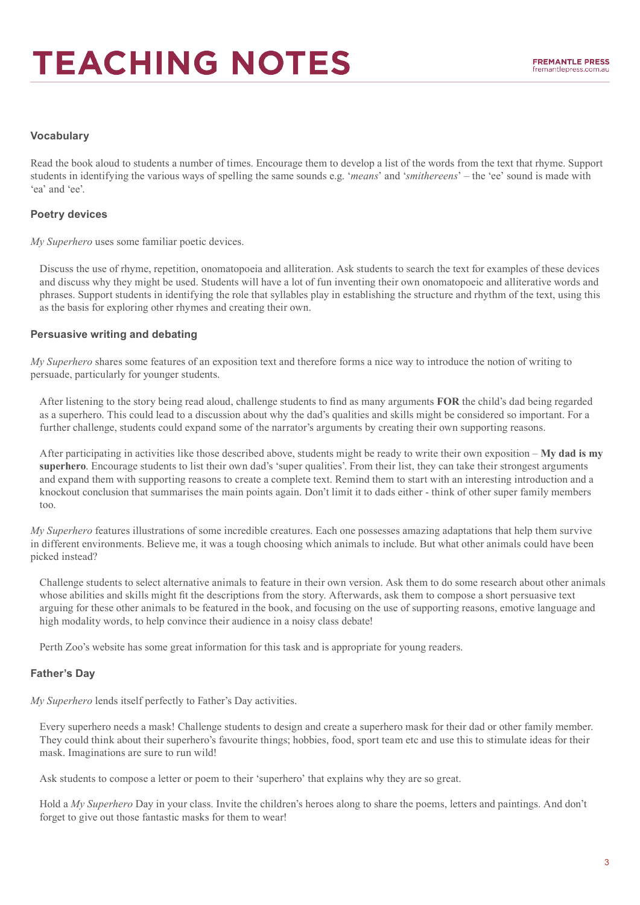#### **Vocabulary**

Read the book aloud to students a number of times. Encourage them to develop a list of the words from the text that rhyme. Support students in identifying the various ways of spelling the same sounds e.g. '*means*' and '*smithereens*' – the 'ee' sound is made with 'ea' and 'ee'.

#### **Poetry devices**

*My Superhero* uses some familiar poetic devices.

Discuss the use of rhyme, repetition, onomatopoeia and alliteration. Ask students to search the text for examples of these devices and discuss why they might be used. Students will have a lot of fun inventing their own onomatopoeic and alliterative words and phrases. Support students in identifying the role that syllables play in establishing the structure and rhythm of the text, using this as the basis for exploring other rhymes and creating their own.

#### **Persuasive writing and debating**

*My Superhero* shares some features of an exposition text and therefore forms a nice way to introduce the notion of writing to persuade, particularly for younger students.

After listening to the story being read aloud, challenge students to find as many arguments **FOR** the child's dad being regarded as a superhero. This could lead to a discussion about why the dad's qualities and skills might be considered so important. For a further challenge, students could expand some of the narrator's arguments by creating their own supporting reasons.

After participating in activities like those described above, students might be ready to write their own exposition – **My dad is my superhero**. Encourage students to list their own dad's 'super qualities'. From their list, they can take their strongest arguments and expand them with supporting reasons to create a complete text. Remind them to start with an interesting introduction and a knockout conclusion that summarises the main points again. Don't limit it to dads either - think of other super family members too.

*My Superhero* features illustrations of some incredible creatures. Each one possesses amazing adaptations that help them survive in different environments. Believe me, it was a tough choosing which animals to include. But what other animals could have been picked instead?

Challenge students to select alternative animals to feature in their own version. Ask them to do some research about other animals whose abilities and skills might fit the descriptions from the story. Afterwards, ask them to compose a short persuasive text arguing for these other animals to be featured in the book, and focusing on the use of supporting reasons, emotive language and high modality words, to help convince their audience in a noisy class debate!

Perth Zoo's website has some great information for this task and is appropriate for young readers.

#### **Father's Day**

*My Superhero* lends itself perfectly to Father's Day activities.

Every superhero needs a mask! Challenge students to design and create a superhero mask for their dad or other family member. They could think about their superhero's favourite things; hobbies, food, sport team etc and use this to stimulate ideas for their mask. Imaginations are sure to run wild!

Ask students to compose a letter or poem to their 'superhero' that explains why they are so great.

Hold a *My Superhero* Day in your class. Invite the children's heroes along to share the poems, letters and paintings. And don't forget to give out those fantastic masks for them to wear!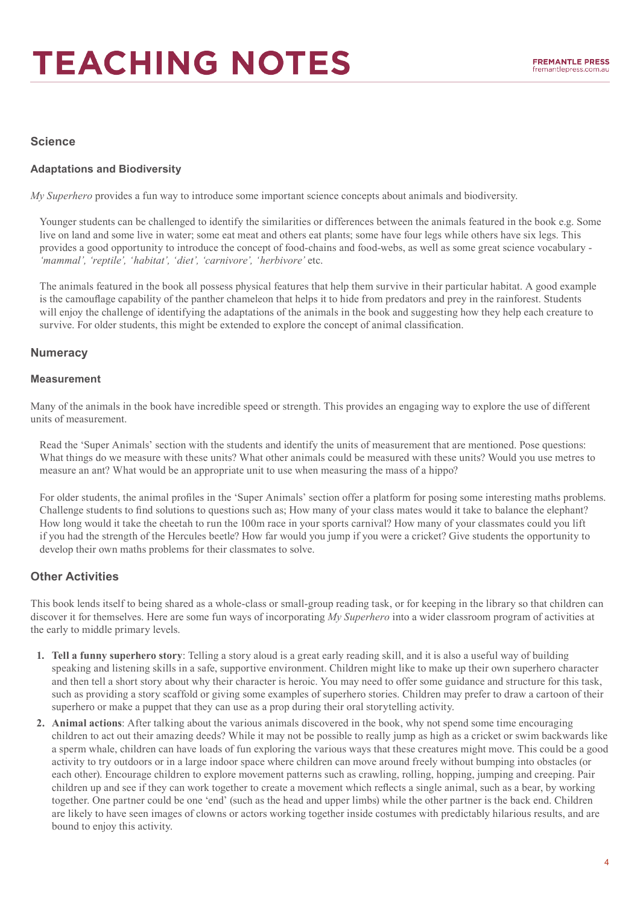#### **Science**

#### **Adaptations and Biodiversity**

*My Superhero* provides a fun way to introduce some important science concepts about animals and biodiversity.

Younger students can be challenged to identify the similarities or differences between the animals featured in the book e.g. Some live on land and some live in water; some eat meat and others eat plants; some have four legs while others have six legs. This provides a good opportunity to introduce the concept of food-chains and food-webs, as well as some great science vocabulary - 'mammal', 'reptile', 'habitat', 'diet', 'carnivore', 'herbivore' etc.

The animals featured in the book all possess physical features that help them survive in their particular habitat. A good example is the camouflage capability of the panther chameleon that helps it to hide from predators and prey in the rainforest. Students will enjoy the challenge of identifying the adaptations of the animals in the book and suggesting how they help each creature to survive. For older students, this might be extended to explore the concept of animal classification.

#### **Numeracy**

#### **Measurement**

Many of the animals in the book have incredible speed or strength. This provides an engaging way to explore the use of different units of measurement.

Read the 'Super Animals' section with the students and identify the units of measurement that are mentioned. Pose questions: What things do we measure with these units? What other animals could be measured with these units? Would you use metres to measure an ant? What would be an appropriate unit to use when measuring the mass of a hippo?

For older students, the animal profiles in the 'Super Animals' section offer a platform for posing some interesting maths problems. Challenge students to find solutions to questions such as; How many of your class mates would it take to balance the elephant? How long would it take the cheetah to run the 100m race in your sports carnival? How many of your classmates could you lift if you had the strength of the Hercules beetle? How far would you jump if you were a cricket? Give students the opportunity to develop their own maths problems for their classmates to solve.

#### **Other Activities**

This book lends itself to being shared as a whole-class or small-group reading task, or for keeping in the library so that children can discover it for themselves. Here are some fun ways of incorporating *My Superhero* into a wider classroom program of activities at the early to middle primary levels.

- **1. Tell a funny superhero story**: Telling a story aloud is a great early reading skill, and it is also a useful way of building speaking and listening skills in a safe, supportive environment. Children might like to make up their own superhero character and then tell a short story about why their character is heroic. You may need to offer some guidance and structure for this task, such as providing a story scaffold or giving some examples of superhero stories. Children may prefer to draw a cartoon of their superhero or make a puppet that they can use as a prop during their oral storytelling activity.
- **2. Animal actions**: After talking about the various animals discovered in the book, why not spend some time encouraging children to act out their amazing deeds? While it may not be possible to really jump as high as a cricket or swim backwards like a sperm whale, children can have loads of fun exploring the various ways that these creatures might move. This could be a good activity to try outdoors or in a large indoor space where children can move around freely without bumping into obstacles (or each other). Encourage children to explore movement patterns such as crawling, rolling, hopping, jumping and creeping. Pair children up and see if they can work together to create a movement which reflects a single animal, such as a bear, by working together. One partner could be one 'end' (such as the head and upper limbs) while the other partner is the back end. Children are likely to have seen images of clowns or actors working together inside costumes with predictably hilarious results, and are bound to enjoy this activity.